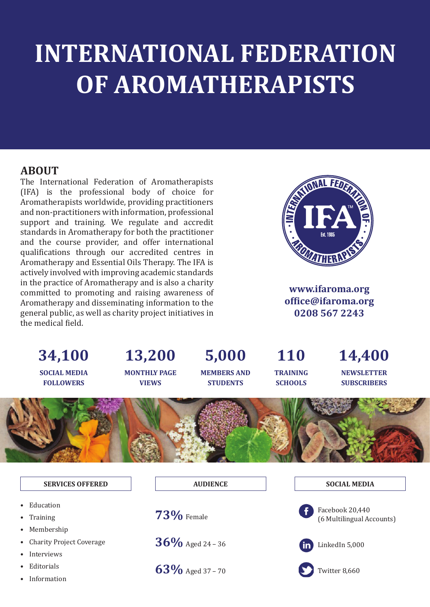# **INTERNATIONAL FEDERATION OF AROMATHERAPISTS**

#### **ABOUT**

The International Federation of Aromatherapists (IFA) is the professional body of choice for Aromatherapists worldwide, providing practitioners and non-practitioners with information, professional support and training. We regulate and accredit standards in Aromatherapy for both the practitioner and the course provider, and offer international quali�ications through our accredited centres in Aromatherapy and Essential Oils Therapy. The IFA is actively involved with improving academic standards in the practice of Aromatherapy and is also a charity committed to promoting and raising awareness of Aromatherapy and disseminating information to the general public, as well as charity project initiatives in the medical field.



**www.ifaroma.org of�ice@ifaroma.org 0208 567 2243**



- 
- **Education**
- **Training**
- Membership
- Charity Project Coverage
- **Interviews**
- **Editorials**
- **Information**

**AUDIENCE** 

**73%** Female

**36%** Aged 24 – 36

**63%** Aged 37 – 70

**SOCIAL MEDIA** 



 Facebook 20,440 (6 Multilingual Accounts)



LinkedIn 5,000